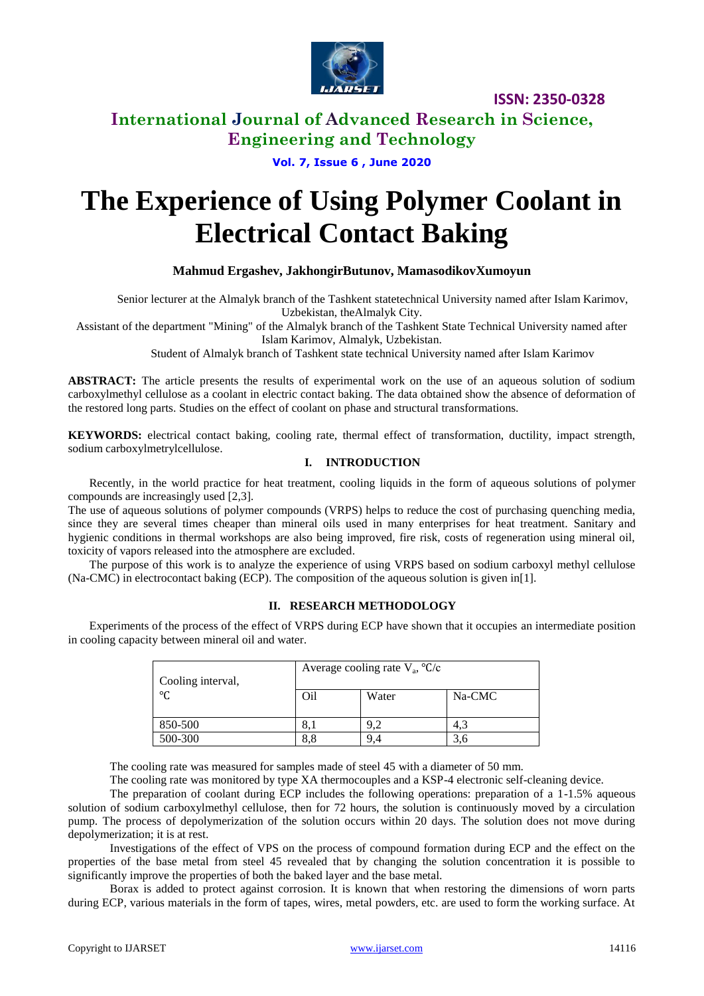

**ISSN: 2350-0328**

### **International Journal of Advanced Research in Science, Engineering and Technology**

**Vol. 7, Issue 6 , June 2020**

# **The Experience of Using Polymer Coolant in Electrical Contact Baking**

### **Mahmud Ergashev, JakhongirButunov, MamasodikovXumoyun**

Senior lecturer at the Almalyk branch of the Tashkent statetechnical University named after Islam Karimov, Uzbekistan, theAlmalyk City.

Assistant of the department "Mining" of the Almalyk branch of the Tashkent State Technical University named after Islam Karimov, Almalyk, Uzbekistan.

Student of Almalyk branch of Tashkent state technical University named after Islam Karimov

**ABSTRACT:** The article presents the results of experimental work on the use of an aqueous solution of sodium carboxylmethyl cellulose as a coolant in electric contact baking. The data obtained show the absence of deformation of the restored long parts. Studies on the effect of coolant on phase and structural transformations.

**KEYWORDS:** electrical contact baking, cooling rate, thermal effect of transformation, ductility, impact strength, sodium carboxylmetrylcellulose.

### **I. INTRODUCTION**

Recently, in the world practice for heat treatment, cooling liquids in the form of aqueous solutions of polymer compounds are increasingly used [2,3].

The use of aqueous solutions of polymer compounds (VRPS) helps to reduce the cost of purchasing quenching media, since they are several times cheaper than mineral oils used in many enterprises for heat treatment. Sanitary and hygienic conditions in thermal workshops are also being improved, fire risk, costs of regeneration using mineral oil, toxicity of vapors released into the atmosphere are excluded.

The purpose of this work is to analyze the experience of using VRPS based on sodium carboxyl methyl cellulose (Na-CMC) in electrocontact baking (ECP). The composition of the aqueous solution is given in[1].

### **II. RESEARCH METHODOLOGY**

Experiments of the process of the effect of VRPS during ECP have shown that it occupies an intermediate position in cooling capacity between mineral oil and water.

| Cooling interval,<br>$^{\circ}C$ | Average cooling rate $V_a$ , ${}^{\circ}C/c$ |          |        |
|----------------------------------|----------------------------------------------|----------|--------|
|                                  | O <sub>il</sub>                              | Water    | Na-CMC |
| 850-500                          | 8.1                                          | $\Omega$ | 4.3    |
| 500-300                          | 8.8                                          | 9.4      |        |

The cooling rate was measured for samples made of steel 45 with a diameter of 50 mm.

The cooling rate was monitored by type XA thermocouples and a KSP-4 electronic self-cleaning device.

The preparation of coolant during ECP includes the following operations: preparation of a 1-1.5% aqueous solution of sodium carboxylmethyl cellulose, then for 72 hours, the solution is continuously moved by a circulation pump. The process of depolymerization of the solution occurs within 20 days. The solution does not move during depolymerization; it is at rest.

Investigations of the effect of VPS on the process of compound formation during ECP and the effect on the properties of the base metal from steel 45 revealed that by changing the solution concentration it is possible to significantly improve the properties of both the baked layer and the base metal.

Borax is added to protect against corrosion. It is known that when restoring the dimensions of worn parts during ECP, various materials in the form of tapes, wires, metal powders, etc. are used to form the working surface. At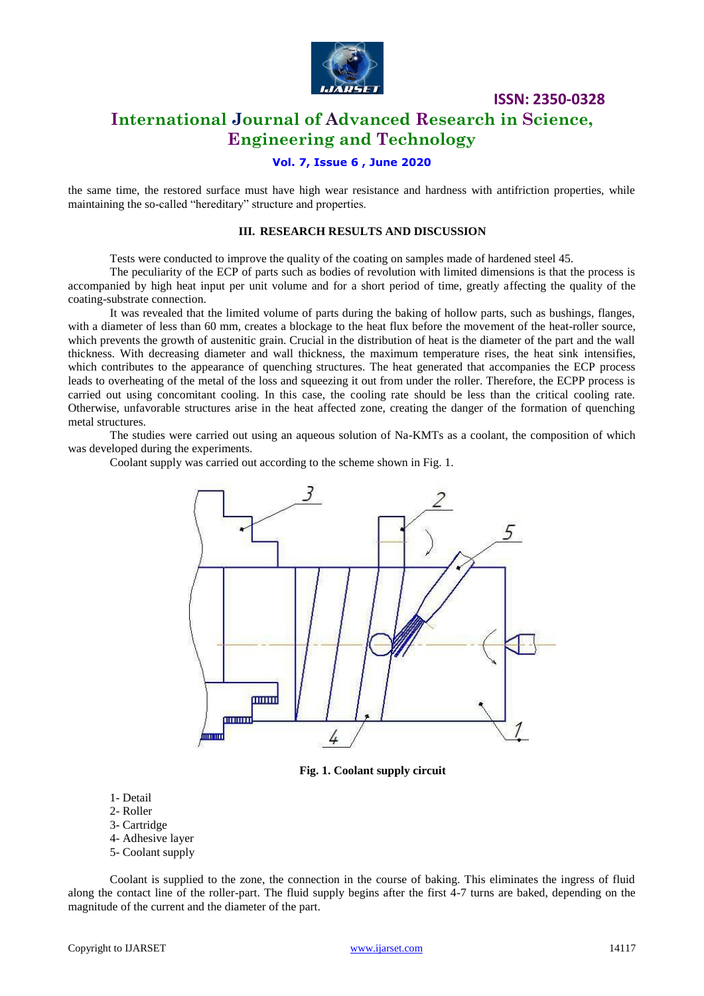

**ISSN: 2350-0328**

### **International Journal of Advanced Research in Science, Engineering and Technology**

### **Vol. 7, Issue 6 , June 2020**

the same time, the restored surface must have high wear resistance and hardness with antifriction properties, while maintaining the so-called "hereditary" structure and properties.

#### **III. RESEARCH RESULTS AND DISCUSSION**

Tests were conducted to improve the quality of the coating on samples made of hardened steel 45.

The peculiarity of the ECP of parts such as bodies of revolution with limited dimensions is that the process is accompanied by high heat input per unit volume and for a short period of time, greatly affecting the quality of the coating-substrate connection.

It was revealed that the limited volume of parts during the baking of hollow parts, such as bushings, flanges, with a diameter of less than 60 mm, creates a blockage to the heat flux before the movement of the heat-roller source, which prevents the growth of austenitic grain. Crucial in the distribution of heat is the diameter of the part and the wall thickness. With decreasing diameter and wall thickness, the maximum temperature rises, the heat sink intensifies, which contributes to the appearance of quenching structures. The heat generated that accompanies the ECP process leads to overheating of the metal of the loss and squeezing it out from under the roller. Therefore, the ECPP process is carried out using concomitant cooling. In this case, the cooling rate should be less than the critical cooling rate. Otherwise, unfavorable structures arise in the heat affected zone, creating the danger of the formation of quenching metal structures.

The studies were carried out using an aqueous solution of Na-KMTs as a coolant, the composition of which was developed during the experiments.

Coolant supply was carried out according to the scheme shown in Fig. 1.



**Fig. 1. Coolant supply circuit**

- 1- Detail
- 2- Roller
- 3- Cartridge
- 4- Adhesive layer
- 5- Coolant supply

Coolant is supplied to the zone, the connection in the course of baking. This eliminates the ingress of fluid along the contact line of the roller-part. The fluid supply begins after the first 4-7 turns are baked, depending on the magnitude of the current and the diameter of the part.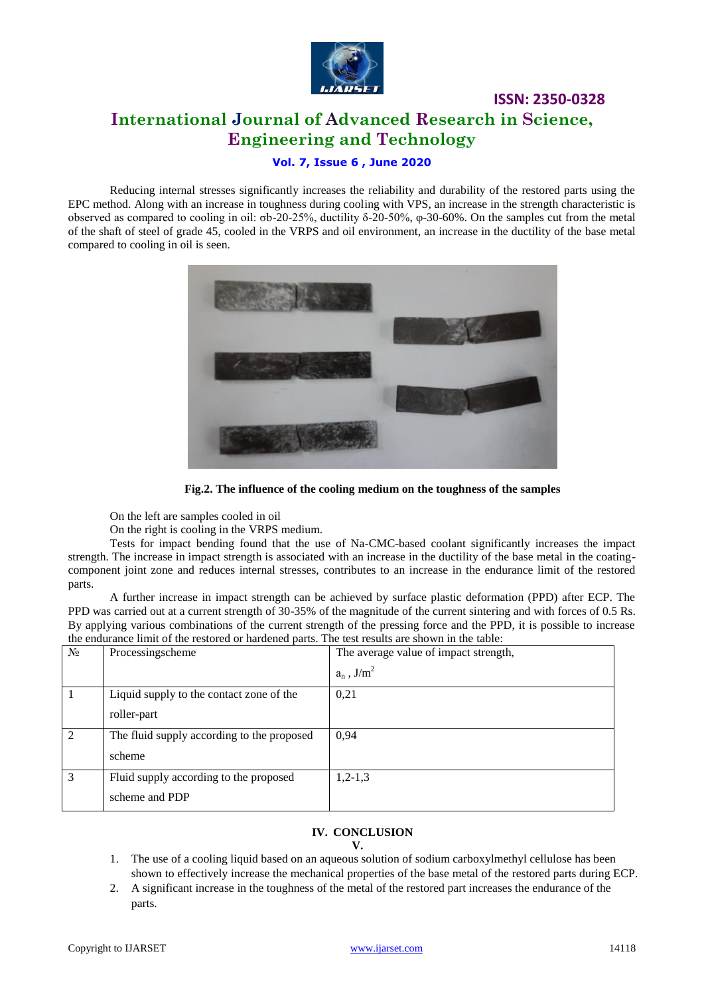

## **ISSN: 2350-0328 International Journal of Advanced Research in Science, Engineering and Technology**

### **Vol. 7, Issue 6 , June 2020**

Reducing internal stresses significantly increases the reliability and durability of the restored parts using the EPC method. Along with an increase in toughness during cooling with VPS, an increase in the strength characteristic is observed as compared to cooling in oil: σb-20-25%, ductility δ-20-50%, φ-30-60%. On the samples cut from the metal of the shaft of steel of grade 45, cooled in the VRPS and oil environment, an increase in the ductility of the base metal compared to cooling in oil is seen.



**Fig.2. The influence of the cooling medium on the toughness of the samples**

On the left are samples cooled in oil

On the right is cooling in the VRPS medium.

Tests for impact bending found that the use of Na-CMC-based coolant significantly increases the impact strength. The increase in impact strength is associated with an increase in the ductility of the base metal in the coatingcomponent joint zone and reduces internal stresses, contributes to an increase in the endurance limit of the restored parts.

A further increase in impact strength can be achieved by surface plastic deformation (PPD) after ECP. The PPD was carried out at a current strength of 30-35% of the magnitude of the current sintering and with forces of 0.5 Rs. By applying various combinations of the current strength of the pressing force and the PPD, it is possible to increase the endurance limit of the restored or hardened parts. The test results are shown in the table:

| $N_2$          | Processingscheme                           | The average value of impact strength, |
|----------------|--------------------------------------------|---------------------------------------|
|                |                                            | $a_n$ , J/m <sup>2</sup>              |
|                | Liquid supply to the contact zone of the   | 0,21                                  |
|                | roller-part                                |                                       |
| $\mathfrak{D}$ | The fluid supply according to the proposed | 0,94                                  |
|                | scheme                                     |                                       |
| 3              | Fluid supply according to the proposed     | $1,2-1,3$                             |
|                | scheme and PDP                             |                                       |

### **IV. CONCLUSION**

#### **V.**

- 1. The use of a cooling liquid based on an aqueous solution of sodium carboxylmethyl cellulose has been shown to effectively increase the mechanical properties of the base metal of the restored parts during ECP.
- 2. A significant increase in the toughness of the metal of the restored part increases the endurance of the parts.